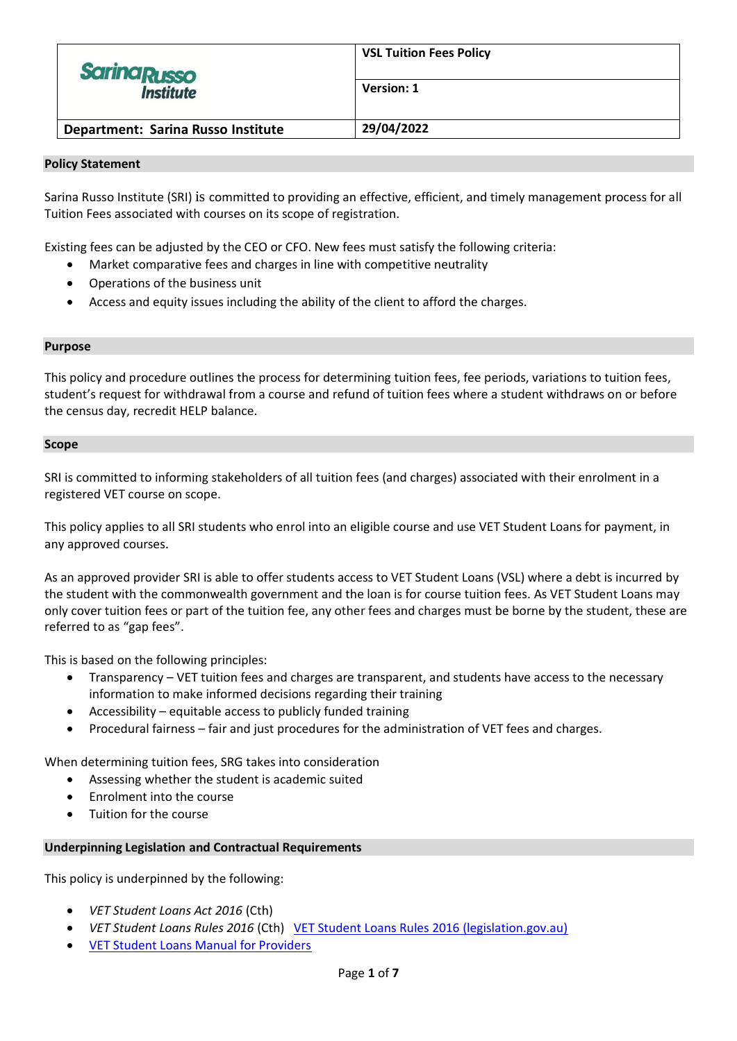| <b>Sarina Russo</b><br><b>Institute</b> | <b>VSL Tuition Fees Policy</b> |
|-----------------------------------------|--------------------------------|
|                                         | Version: 1                     |
| Department: Sarina Russo Institute      | 29/04/2022                     |

#### **Policy Statement**

Sarina Russo Institute (SRI) is committed to providing an effective, efficient, and timely management process for all Tuition Fees associated with courses on its scope of registration.

Existing fees can be adjusted by the CEO or CFO. New fees must satisfy the following criteria:

- Market comparative fees and charges in line with competitive neutrality
- Operations of the business unit
- Access and equity issues including the ability of the client to afford the charges.

#### **Purpose**

This policy and procedure outlines the process for determining tuition fees, fee periods, variations to tuition fees, student's request for withdrawal from a course and refund of tuition fees where a student withdraws on or before the census day, recredit HELP balance.

#### **Scope**

SRI is committed to informing stakeholders of all tuition fees (and charges) associated with their enrolment in a registered VET course on scope.

This policy applies to all SRI students who enrol into an eligible course and use VET Student Loans for payment, in any approved courses.

As an approved provider SRI is able to offer students access to VET Student Loans (VSL) where a debt is incurred by the student with the commonwealth government and the loan is for course tuition fees. As VET Student Loans may only cover tuition fees or part of the tuition fee, any other fees and charges must be borne by the student, these are referred to as "gap fees".

This is based on the following principles:

- Transparency VET tuition fees and charges are transparent, and students have access to the necessary information to make informed decisions regarding their training
- Accessibility equitable access to publicly funded training
- Procedural fairness fair and just procedures for the administration of VET fees and charges.

When determining tuition fees, SRG takes into consideration

- Assessing whether the student is academic suited
- Enrolment into the course
- Tuition for the course

#### **Underpinning Legislation and Contractual Requirements**

This policy is underpinned by the following:

- *VET Student Loans Act 2016* (Cth)
- *VET Student Loans Rules 2016* (Cth) [VET Student Loans Rules 2016 \(legislation.gov.au\)](https://www.legislation.gov.au/Details/F2022C00202)
- [VET Student Loans Manual for Providers](https://docs.education.gov.au/system/files/doc/other/provider_manual_-_3.0.pdf)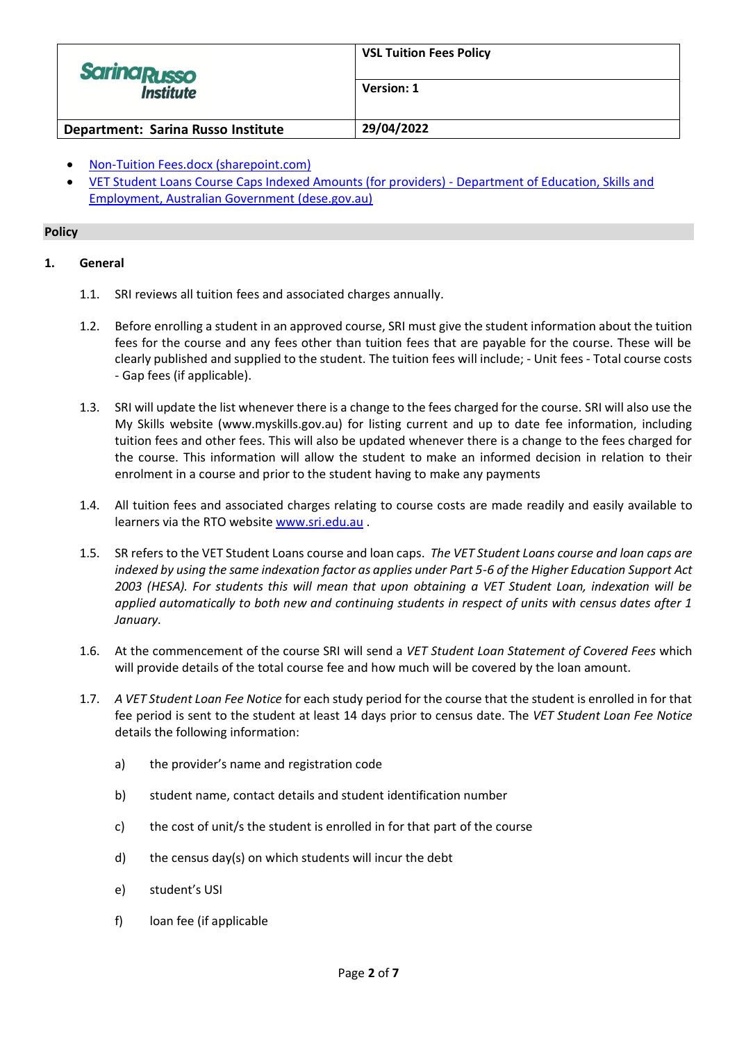| <b>Sarina Russo</b><br><b>Institute</b> | <b>VSL Tuition Fees Policy</b> |
|-----------------------------------------|--------------------------------|
|                                         | Version: 1                     |
| Department: Sarina Russo Institute      | 29/04/2022                     |

- [Non-Tuition Fees.docx \(sharepoint.com\)](https://tsrg.sharepoint.com/:w:/r/_layouts/15/Doc.aspx?sourcedoc=%7BDF92E89C-03BC-4A5B-8963-D87F09CB62E4%7D&file=Non-Tuition%20Fees.docx&action=default&mobileredirect=true)
- [VET Student Loans Course Caps Indexed Amounts \(for providers\) -](https://www.dese.gov.au/vet-student-loans/resources/vet-student-loans-course-caps-indexed-amounts-providers) Department of Education, Skills and [Employment, Australian Government \(dese.gov.au\)](https://www.dese.gov.au/vet-student-loans/resources/vet-student-loans-course-caps-indexed-amounts-providers)

# **Policy**

# **1. General**

- 1.1. SRI reviews all tuition fees and associated charges annually.
- 1.2. Before enrolling a student in an approved course, SRI must give the student information about the tuition fees for the course and any fees other than tuition fees that are payable for the course. These will be clearly published and supplied to the student. The tuition fees will include; - Unit fees - Total course costs - Gap fees (if applicable).
- 1.3. SRI will update the list whenever there is a change to the fees charged for the course. SRI will also use the My Skills website (www.myskills.gov.au) for listing current and up to date fee information, including tuition fees and other fees. This will also be updated whenever there is a change to the fees charged for the course. This information will allow the student to make an informed decision in relation to their enrolment in a course and prior to the student having to make any payments
- 1.4. All tuition fees and associated charges relating to course costs are made readily and easily available to learners via the RTO website [www.sri.edu.au](http://www.sri.edu.au/).
- 1.5. SR refers to the VET Student Loans course and loan caps. *The VET Student Loans course and loan caps are indexed by using the same indexation factor as applies under Part 5-6 of the Higher Education Support Act 2003 (HESA). For students this will mean that upon obtaining a VET Student Loan, indexation will be applied automatically to both new and continuing students in respect of units with census dates after 1 January.*
- 1.6. At the commencement of the course SRI will send a *VET Student Loan Statement of Covered Fees* which will provide details of the total course fee and how much will be covered by the loan amount.
- 1.7. *A VET Student Loan Fee Notice* for each study period for the course that the student is enrolled in for that fee period is sent to the student at least 14 days prior to census date. The *VET Student Loan Fee Notice* details the following information:
	- a) the provider's name and registration code
	- b) student name, contact details and student identification number
	- c) the cost of unit/s the student is enrolled in for that part of the course
	- d) the census day(s) on which students will incur the debt
	- e) student's USI
	- f) loan fee (if applicable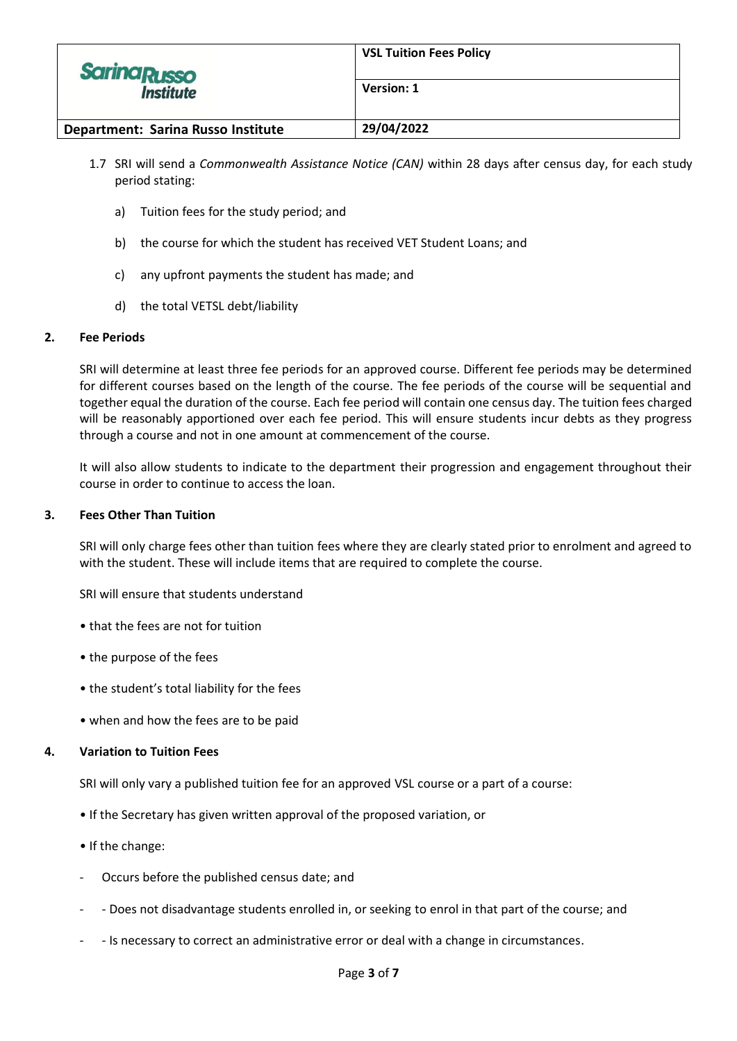| <b>Sarina Russo</b><br><i><b>Institute</b></i> | <b>VSL Tuition Fees Policy</b> |
|------------------------------------------------|--------------------------------|
|                                                | Version: 1                     |
| Department: Sarina Russo Institute             | 29/04/2022                     |

- 1.7 SRI will send a *Commonwealth Assistance Notice (CAN)* within 28 days after census day, for each study period stating:
	- a) Tuition fees for the study period; and
	- b) the course for which the student has received VET Student Loans; and
	- c) any upfront payments the student has made; and
	- d) the total VETSL debt/liability

# **2. Fee Periods**

SRI will determine at least three fee periods for an approved course. Different fee periods may be determined for different courses based on the length of the course. The fee periods of the course will be sequential and together equal the duration of the course. Each fee period will contain one census day. The tuition fees charged will be reasonably apportioned over each fee period. This will ensure students incur debts as they progress through a course and not in one amount at commencement of the course.

It will also allow students to indicate to the department their progression and engagement throughout their course in order to continue to access the loan.

### **3. Fees Other Than Tuition**

SRI will only charge fees other than tuition fees where they are clearly stated prior to enrolment and agreed to with the student. These will include items that are required to complete the course.

SRI will ensure that students understand

- that the fees are not for tuition
- the purpose of the fees
- the student's total liability for the fees
- when and how the fees are to be paid

#### **4. Variation to Tuition Fees**

SRI will only vary a published tuition fee for an approved VSL course or a part of a course:

- If the Secretary has given written approval of the proposed variation, or
- If the change:
- Occurs before the published census date; and
- - Does not disadvantage students enrolled in, or seeking to enrol in that part of the course; and
- - Is necessary to correct an administrative error or deal with a change in circumstances.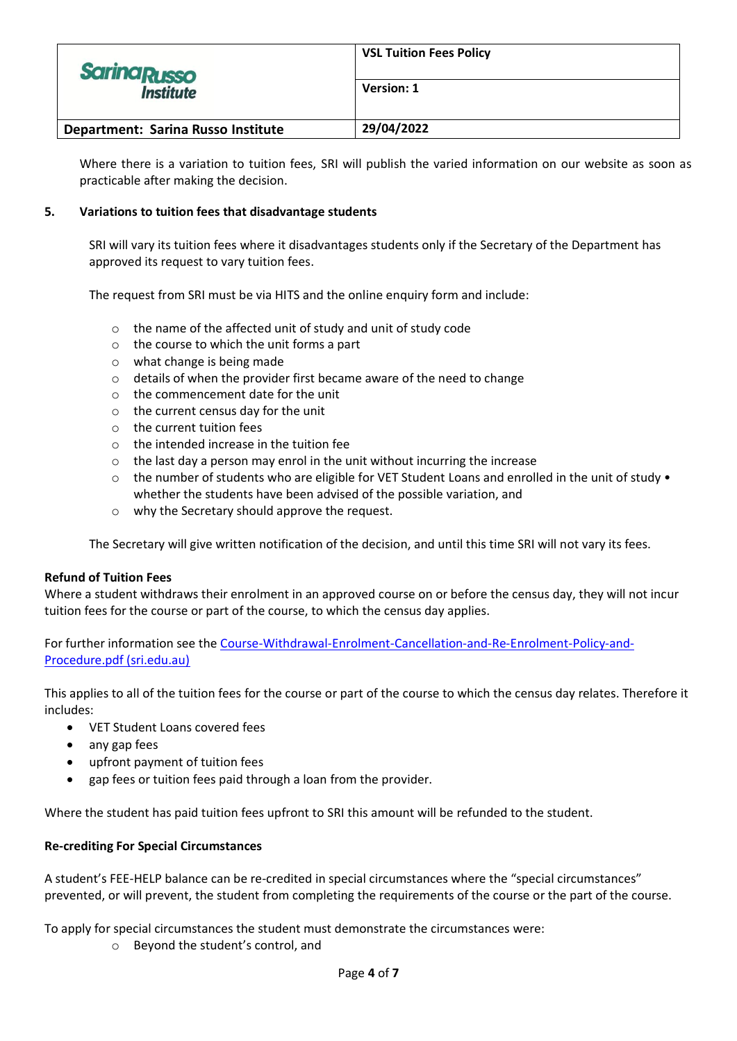| <b>Sarina Russo</b><br><i><b>Institute</b></i> | <b>VSL Tuition Fees Policy</b> |
|------------------------------------------------|--------------------------------|
|                                                | Version: 1                     |
| Department: Sarina Russo Institute             | 29/04/2022                     |

Where there is a variation to tuition fees, SRI will publish the varied information on our website as soon as practicable after making the decision.

# **5. Variations to tuition fees that disadvantage students**

SRI will vary its tuition fees where it disadvantages students only if the Secretary of the Department has approved its request to vary tuition fees.

The request from SRI must be via HITS and the online enquiry form and include:

- o the name of the affected unit of study and unit of study code
- o the course to which the unit forms a part
- o what change is being made
- o details of when the provider first became aware of the need to change
- o the commencement date for the unit
- o the current census day for the unit
- o the current tuition fees
- $\circ$  the intended increase in the tuition fee
- o the last day a person may enrol in the unit without incurring the increase
- o the number of students who are eligible for VET Student Loans and enrolled in the unit of study whether the students have been advised of the possible variation, and
- o why the Secretary should approve the request.

The Secretary will give written notification of the decision, and until this time SRI will not vary its fees.

# **Refund of Tuition Fees**

Where a student withdraws their enrolment in an approved course on or before the census day, they will not incur tuition fees for the course or part of the course, to which the census day applies.

For further information see the [Course-Withdrawal-Enrolment-Cancellation-and-Re-Enrolment-Policy-and-](https://www.sri.edu.au/wp-content/uploads/2020/03/Course-Withdrawal-Enrolment-Cancellation-and-Re-Enrolment-Policy-and-Procedure.pdf)[Procedure.pdf \(sri.edu.au\)](https://www.sri.edu.au/wp-content/uploads/2020/03/Course-Withdrawal-Enrolment-Cancellation-and-Re-Enrolment-Policy-and-Procedure.pdf)

This applies to all of the tuition fees for the course or part of the course to which the census day relates. Therefore it includes:

- VET Student Loans covered fees
- any gap fees
- upfront payment of tuition fees
- gap fees or tuition fees paid through a loan from the provider.

Where the student has paid tuition fees upfront to SRI this amount will be refunded to the student.

# **Re-crediting For Special Circumstances**

A student's FEE-HELP balance can be re-credited in special circumstances where the "special circumstances" prevented, or will prevent, the student from completing the requirements of the course or the part of the course.

To apply for special circumstances the student must demonstrate the circumstances were:

o Beyond the student's control, and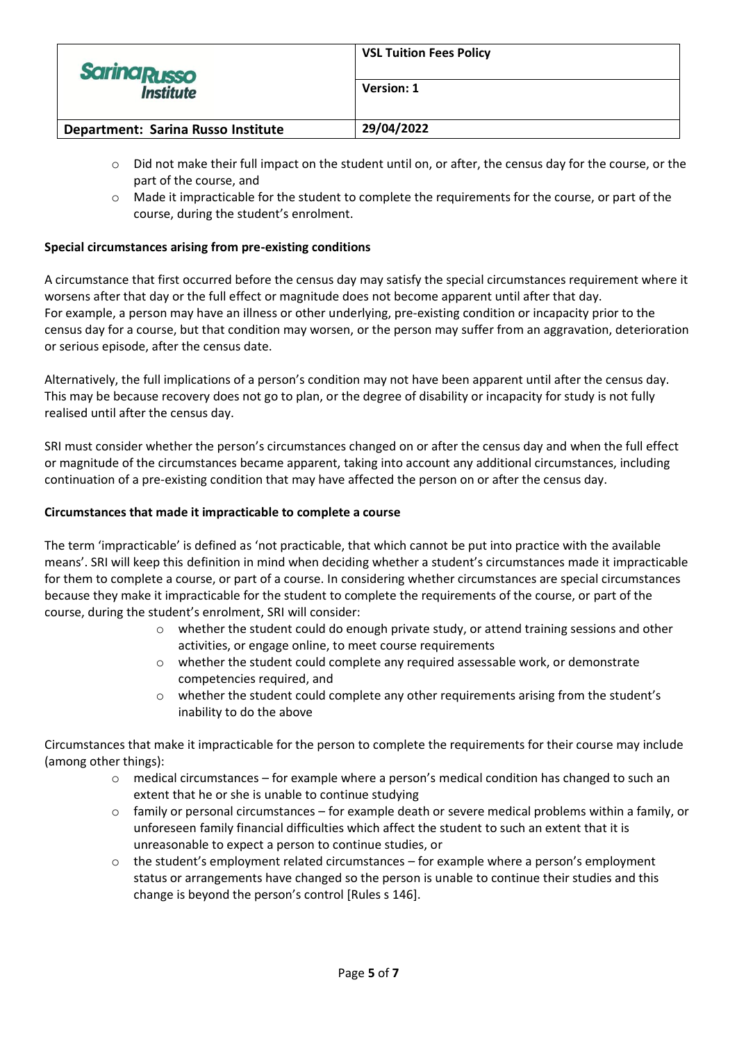| <b>Sarina Russo</b><br><b>Institute</b> | <b>VSL Tuition Fees Policy</b> |
|-----------------------------------------|--------------------------------|
|                                         | Version: 1                     |
| Department: Sarina Russo Institute      | 29/04/2022                     |

- o Did not make their full impact on the student until on, or after, the census day for the course, or the part of the course, and
- $\circ$  Made it impracticable for the student to complete the requirements for the course, or part of the course, during the student's enrolment.

# **Special circumstances arising from pre-existing conditions**

A circumstance that first occurred before the census day may satisfy the special circumstances requirement where it worsens after that day or the full effect or magnitude does not become apparent until after that day. For example, a person may have an illness or other underlying, pre‐existing condition or incapacity prior to the census day for a course, but that condition may worsen, or the person may suffer from an aggravation, deterioration or serious episode, after the census date.

Alternatively, the full implications of a person's condition may not have been apparent until after the census day. This may be because recovery does not go to plan, or the degree of disability or incapacity for study is not fully realised until after the census day.

SRI must consider whether the person's circumstances changed on or after the census day and when the full effect or magnitude of the circumstances became apparent, taking into account any additional circumstances, including continuation of a pre‐existing condition that may have affected the person on or after the census day.

### **Circumstances that made it impracticable to complete a course**

The term 'impracticable' is defined as 'not practicable, that which cannot be put into practice with the available means'. SRI will keep this definition in mind when deciding whether a student's circumstances made it impracticable for them to complete a course, or part of a course. In considering whether circumstances are special circumstances because they make it impracticable for the student to complete the requirements of the course, or part of the course, during the student's enrolment, SRI will consider:

- o whether the student could do enough private study, or attend training sessions and other activities, or engage online, to meet course requirements
- o whether the student could complete any required assessable work, or demonstrate competencies required, and
- o whether the student could complete any other requirements arising from the student's inability to do the above

Circumstances that make it impracticable for the person to complete the requirements for their course may include (among other things):

- $\circ$  medical circumstances for example where a person's medical condition has changed to such an extent that he or she is unable to continue studying
- $\circ$  family or personal circumstances for example death or severe medical problems within a family, or unforeseen family financial difficulties which affect the student to such an extent that it is unreasonable to expect a person to continue studies, or
- o the student's employment related circumstances for example where a person's employment status or arrangements have changed so the person is unable to continue their studies and this change is beyond the person's control [Rules s 146].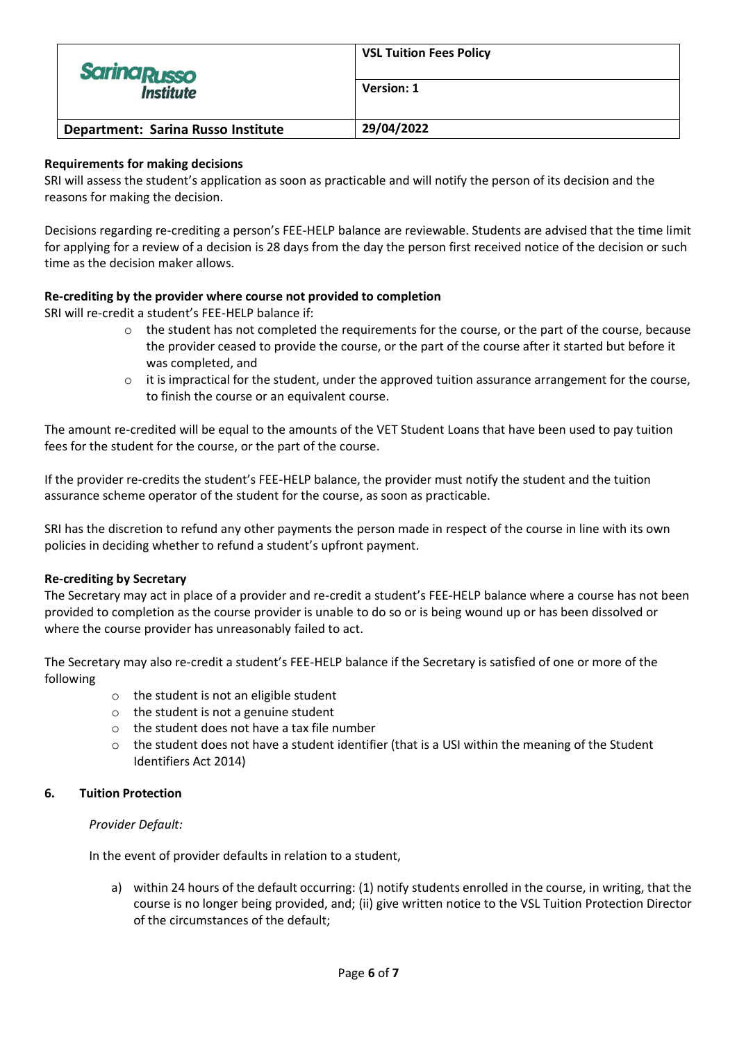| <b>Sarina Russo</b><br><b>Institute</b> | <b>VSL Tuition Fees Policy</b> |
|-----------------------------------------|--------------------------------|
|                                         | Version: 1                     |
| Department: Sarina Russo Institute      | 29/04/2022                     |

# **Requirements for making decisions**

SRI will assess the student's application as soon as practicable and will notify the person of its decision and the reasons for making the decision.

Decisions regarding re-crediting a person's FEE-HELP balance are reviewable. Students are advised that the time limit for applying for a review of a decision is 28 days from the day the person first received notice of the decision or such time as the decision maker allows.

# **Re-crediting by the provider where course not provided to completion**

SRI will re-credit a student's FEE-HELP balance if:

- o the student has not completed the requirements for the course, or the part of the course, because the provider ceased to provide the course, or the part of the course after it started but before it was completed, and
- $\circ$  it is impractical for the student, under the approved tuition assurance arrangement for the course, to finish the course or an equivalent course.

The amount re-credited will be equal to the amounts of the VET Student Loans that have been used to pay tuition fees for the student for the course, or the part of the course.

If the provider re-credits the student's FEE-HELP balance, the provider must notify the student and the tuition assurance scheme operator of the student for the course, as soon as practicable.

SRI has the discretion to refund any other payments the person made in respect of the course in line with its own policies in deciding whether to refund a student's upfront payment.

# **Re-crediting by Secretary**

The Secretary may act in place of a provider and re-credit a student's FEE-HELP balance where a course has not been provided to completion as the course provider is unable to do so or is being wound up or has been dissolved or where the course provider has unreasonably failed to act.

The Secretary may also re-credit a student's FEE-HELP balance if the Secretary is satisfied of one or more of the following

- o the student is not an eligible student
- $\circ$  the student is not a genuine student
- o the student does not have a tax file number
- $\circ$  the student does not have a student identifier (that is a USI within the meaning of the Student Identifiers Act 2014)

#### **6. Tuition Protection**

#### *Provider Default:*

In the event of provider defaults in relation to a student,

a) within 24 hours of the default occurring: (1) notify students enrolled in the course, in writing, that the course is no longer being provided, and; (ii) give written notice to the VSL Tuition Protection Director of the circumstances of the default;